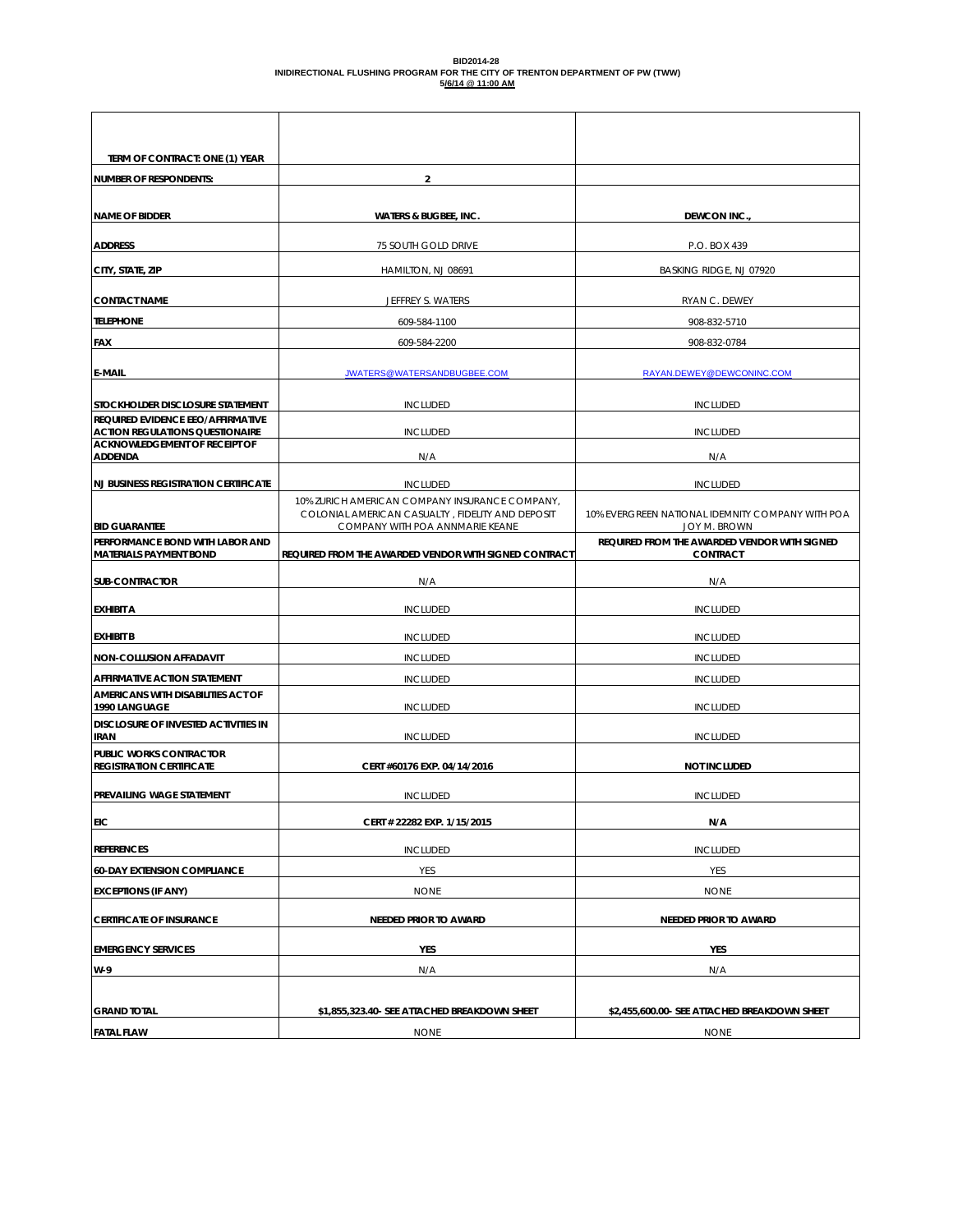#### **BID2014-28 INIDIRECTIONAL FLUSHING PROGRAM FOR THE CITY OF TRENTON DEPARTMENT OF PW (TWW) 5/6/14 @ 11:00 AM**

| TERM OF CONTRACT: ONE (1) YEAR                                                 |                                                                                                    |                                                              |
|--------------------------------------------------------------------------------|----------------------------------------------------------------------------------------------------|--------------------------------------------------------------|
| <b>NUMBER OF RESPONDENTS:</b>                                                  | $\overline{\mathbf{2}}$                                                                            |                                                              |
|                                                                                |                                                                                                    |                                                              |
| <b>NAME OF BIDDER</b>                                                          | <b>WATERS &amp; BUGBEE, INC.</b>                                                                   | DEWCON INC.                                                  |
| <b>ADDRESS</b>                                                                 | 75 SOUTH GOLD DRIVE                                                                                | P.O. BOX 439                                                 |
| CITY, STATE, ZIP                                                               | HAMILTON, NJ 08691                                                                                 | BASKING RIDGE, NJ 07920                                      |
| <b>CONTACT NAME</b>                                                            | JEFFREY S. WATERS                                                                                  | RYAN C. DEWEY                                                |
| <b>TELEPHONE</b>                                                               | 609-584-1100                                                                                       | 908-832-5710                                                 |
| <b>FAX</b>                                                                     | 609-584-2200                                                                                       | 908-832-0784                                                 |
| <b>E-MAIL</b>                                                                  | JWATERS@WATERSANDBUGBEE.COM                                                                        | RAYAN.DEWEY@DEWCONINC.COM                                    |
| STOCKHOLDER DISCLOSURE STATEMENT                                               | <b>INCLUDED</b>                                                                                    | <b>INCLUDED</b>                                              |
| REQUIRED EVIDENCE EEO/AFFIRMATIVE                                              |                                                                                                    |                                                              |
| <b>ACTION REGULATIONS QUESTIONAIRE</b><br><b>ACKNOWLEDGEMENT OF RECEIPT OF</b> | <b>INCLUDED</b>                                                                                    | <b>INCLUDED</b>                                              |
| <b>ADDENDA</b>                                                                 | N/A                                                                                                | N/A                                                          |
| <b>NJ BUSINESS REGISTRATION CERTIFICATE</b>                                    | <b>INCLUDED</b>                                                                                    | <b>INCLUDED</b>                                              |
|                                                                                | 10% ZURICH AMERICAN COMPANY INSURANCE COMPANY,<br>COLONIAL AMERICAN CASUALTY, FIDELITY AND DEPOSIT | 10% EVERGREEN NATIONAL IDEMNITY COMPANY WITH POA             |
| <b>BID GUARANTEE</b><br>PERFORMANCE BOND WITH LABOR AND                        | COMPANY WITH POA ANNMARIE KEANE                                                                    | JOY M. BROWN<br>REQUIRED FROM THE AWARDED VENDOR WITH SIGNED |
| <b>MATERIALS PAYMENT BOND</b>                                                  | REQUIRED FROM THE AWARDED VENDOR WITH SIGNED CONTRACT                                              | <b>CONTRACT</b>                                              |
| <b>SUB-CONTRACTOR</b>                                                          | N/A                                                                                                | N/A                                                          |
| <b>EXHIBIT A</b>                                                               | <b>INCLUDED</b>                                                                                    | <b>INCLUDED</b>                                              |
| <b>EXHIBIT B</b>                                                               | <b>INCLUDED</b>                                                                                    | <b>INCLUDED</b>                                              |
| <b>NON-COLLUSION AFFADAVIT</b>                                                 | <b>INCLUDED</b>                                                                                    | <b>INCLUDED</b>                                              |
| AFFIRMATIVE ACTION STATEMENT                                                   | <b>INCLUDED</b>                                                                                    | <b>INCLUDED</b>                                              |
| AMERICANS WITH DISABILITIES ACT OF<br>1990 LANGUAGE                            | <b>INCLUDED</b>                                                                                    | <b>INCLUDED</b>                                              |
| <b>DISCLOSURE OF INVESTED ACTIVITIES IN</b><br><b>IRAN</b>                     | <b>INCLUDED</b>                                                                                    | <b>INCLUDED</b>                                              |
| PUBLIC WORKS CONTRACTOR<br><b>REGISTRATION CERTIFICATE</b>                     | CERT #60176 EXP. 04/14/2016                                                                        | <b>NOT INCLUDED</b>                                          |
| <b>PREVAILING WAGE STATEMENT</b>                                               | <b>INCLUDED</b>                                                                                    | <b>INCLUDED</b>                                              |
| <b>EIC</b>                                                                     | CERT # 22282 EXP. 1/15/2015                                                                        | N/A                                                          |
| <b>REFERENCES</b>                                                              | <b>INCLUDED</b>                                                                                    | <b>INCLUDED</b>                                              |
| <b>60-DAY EXTENSION COMPLIANCE</b>                                             | YES                                                                                                | YES                                                          |
| <b>EXCEPTIONS (IF ANY)</b>                                                     | <b>NONE</b>                                                                                        | <b>NONE</b>                                                  |
| <b>CERTIFICATE OF INSURANCE</b>                                                | <b>NEEDED PRIOR TO AWARD</b>                                                                       | NEEDED PRIOR TO AWARD                                        |
| <b>EMERGENCY SERVICES</b>                                                      | YES                                                                                                | YES                                                          |
| W-9                                                                            | N/A                                                                                                | N/A                                                          |
|                                                                                |                                                                                                    |                                                              |
| <b>GRAND TOTAL</b>                                                             | \$1,855,323.40- SEE ATTACHED BREAKDOWN SHEET                                                       | \$2,455,600.00- SEE ATTACHED BREAKDOWN SHEET                 |
| <b>FATAL FLAW</b>                                                              | <b>NONE</b>                                                                                        | <b>NONE</b>                                                  |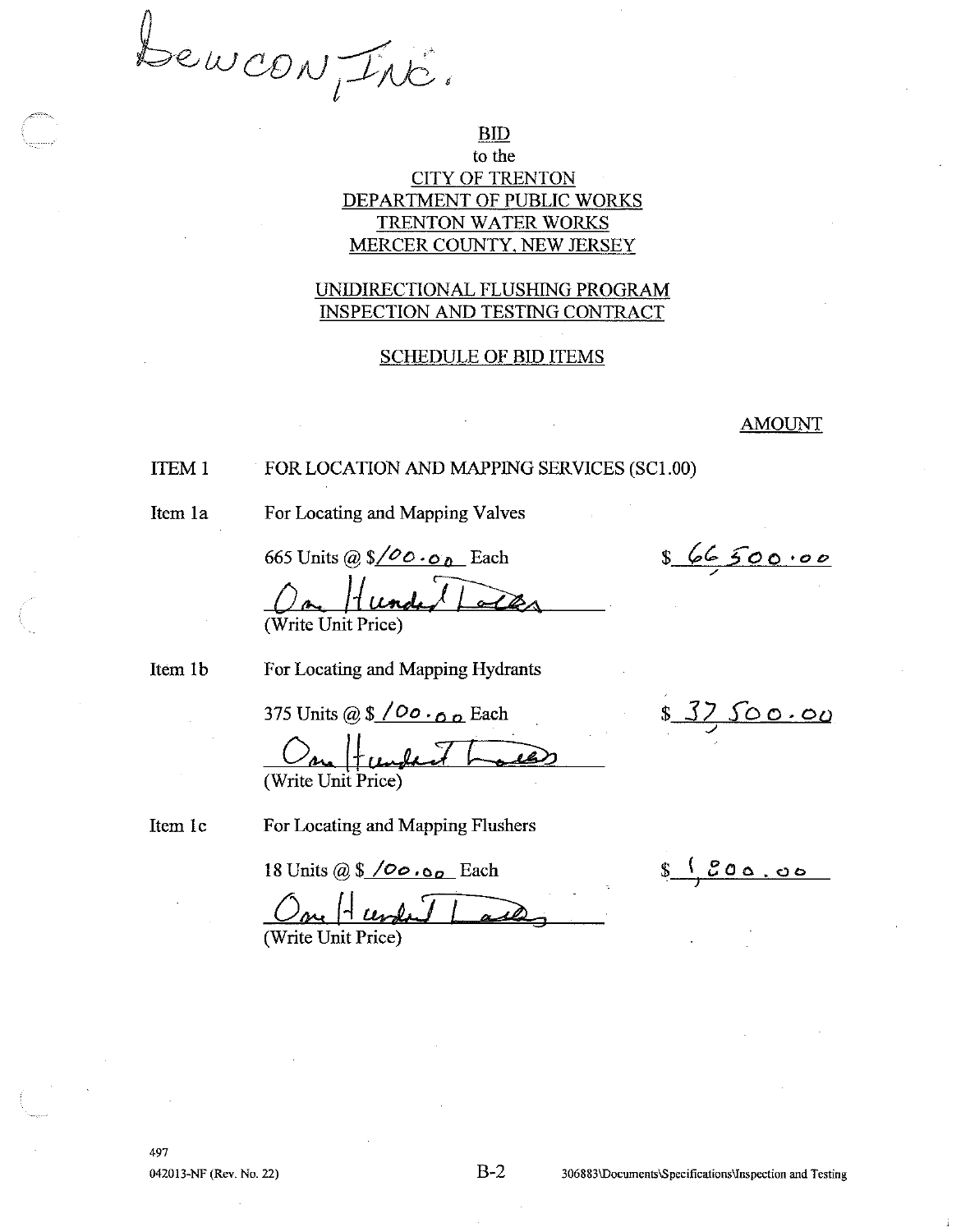Bewcon, Inc.

# **BID**

# to the **CITY OF TRENTON** DEPARTMENT OF PUBLIC WORKS TRENTON WATER WORKS MERCER COUNTY, NEW JERSEY

## UNIDIRECTIONAL FLUSHING PROGRAM INSPECTION AND TESTING CONTRACT

## **SCHEDULE OF BID ITEMS**

**AMOUNT** 

#### FOR LOCATION AND MAPPING SERVICES (SC1.00) **ITEM1**

Item 1a

For Locating and Mapping Valves

665 Units @  $\sqrt{\smash[b]{\mathcal{O}}\! \cdot \! \mathfrak{o}}$  Each

866500.00

(Write Unit Price)

Item 1b

For Locating and Mapping Hydrants

375 Units @  $\sqrt{$}$  / Oo  $\cdot$  o  $\sqrt{2}$  Each

(Write Unit Price)

<u> 100.00</u>

<u> $200.00$ </u>

Item 1c

For Locating and Mapping Flushers

18 Units @  $$ /00 \cdot 00$  Each

(Write Unit Price)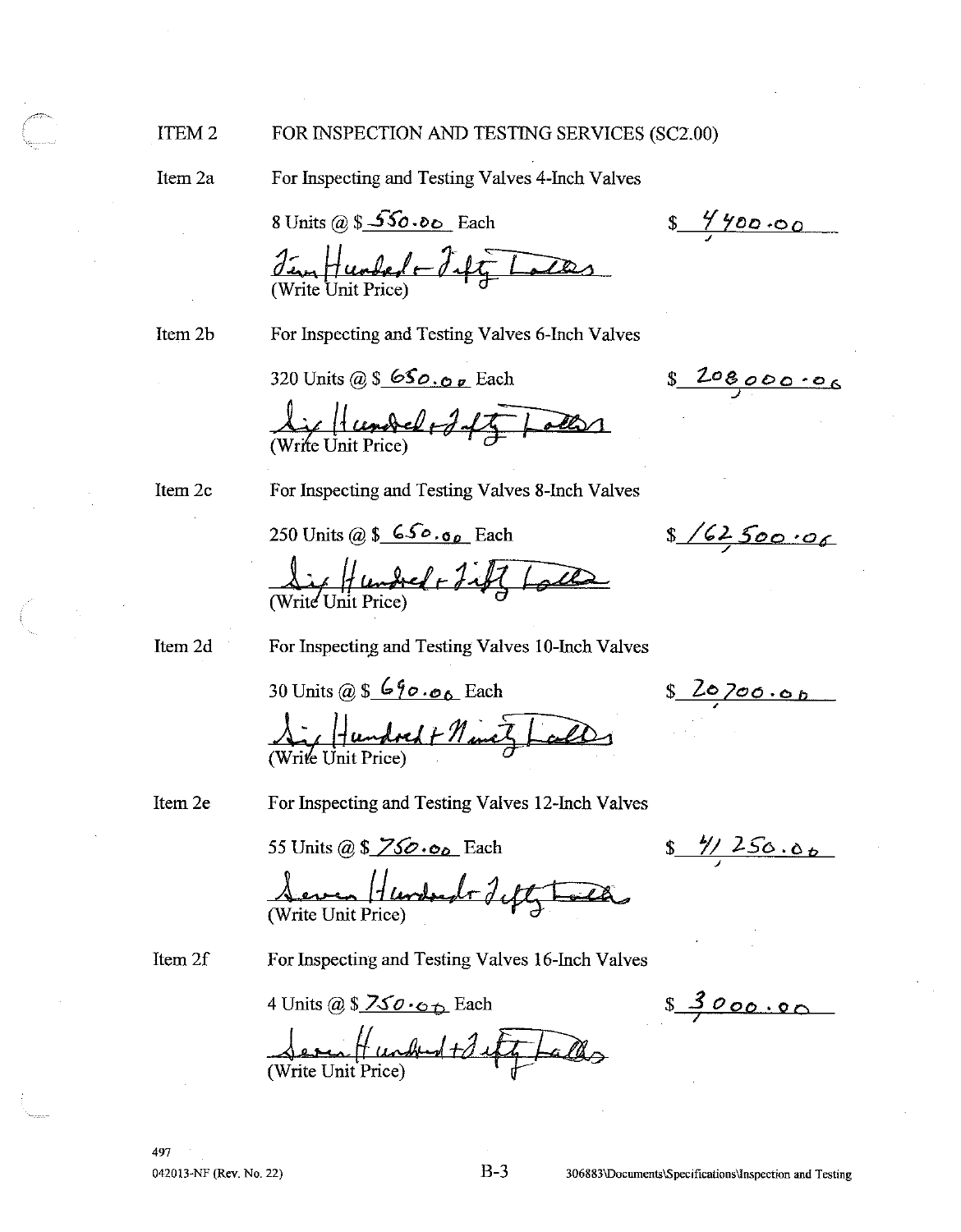#### ITEM<sub>2</sub> FOR INSPECTION AND TESTING SERVICES (SC2.00)

Item 2a

For Inspecting and Testing Valves 4-Inch Valves

8 Units @  $$56 \cdot 8$  Each

 $87700.00$ 

 $$20800006$ 

Tem Humbert Fifty

Item 2b

For Inspecting and Testing Valves 6-Inch Valves

320 Units @  $\$\,650.00$  Each

Lif Hundel + Jaff aller

Item 2c

For Inspecting and Testing Valves 8-Inch Valves

250 Units @  $\$\mathsf{650.06}$  Each

 $8/62500.06$ 

<u>Light</u> Lembred + Fift

Item 2d

For Inspecting and Testing Valves 10-Inch Valves

30 Units @ \$  $690.06$  Each

8 20700.00

Ai Hundock + Neuez Lall

Item 2e

For Inspecting and Testing Valves 12-Inch Valves

55 Units @ \$  $\overline{\smash{\nearrow}}$  SO. o<sub>o</sub> Each

 $\frac{4/1256.06}{1}$ 

 $$3000.00$ 

Hundred Tift The (Write Unit Price)

Item 2f

For Inspecting and Testing Valves 16-Inch Valves

4 Units @  $$ZSO \cdot C_{D}$  Each

Vernet understalt falls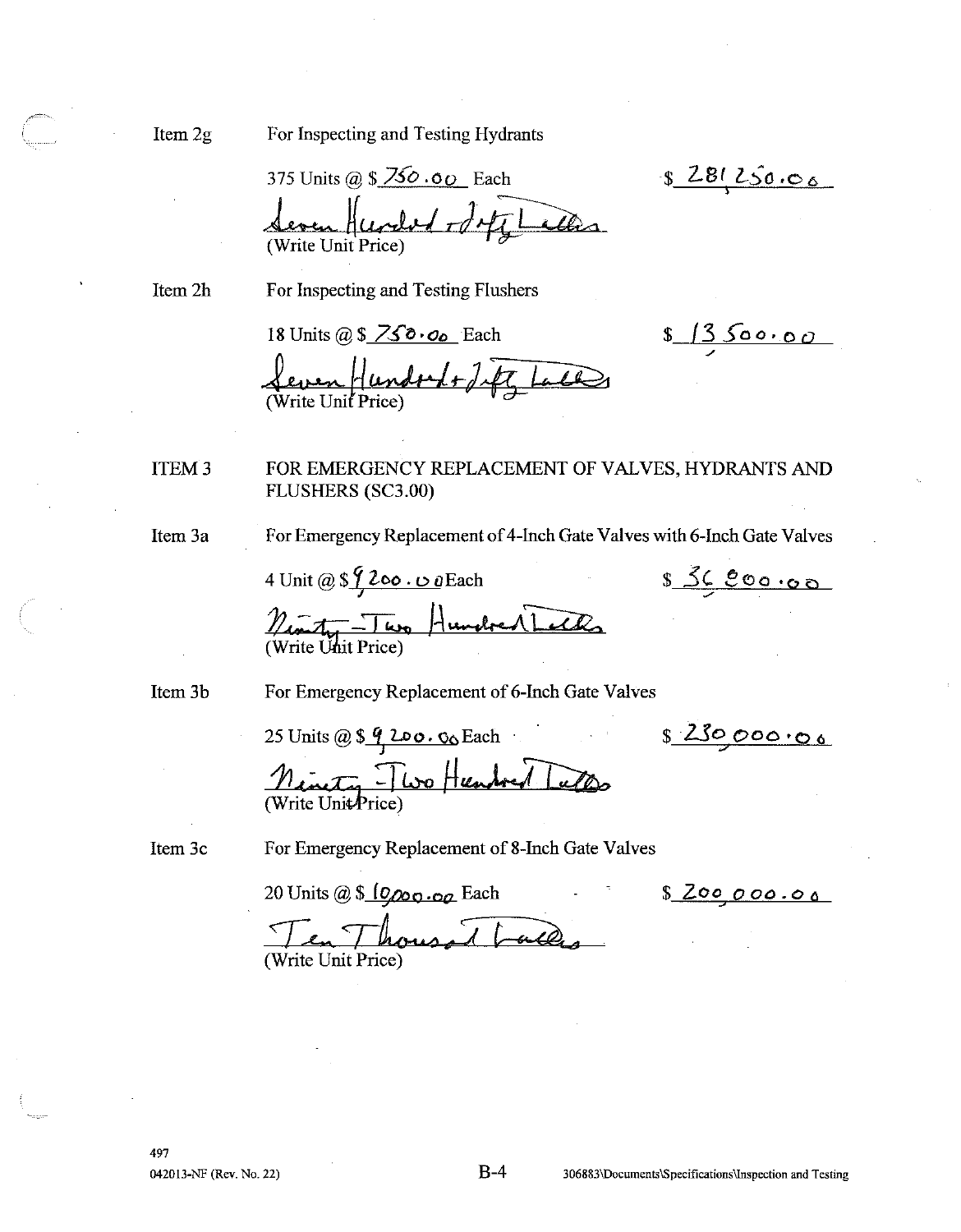Item 2g

For Inspecting and Testing Hydrants

375 Units @  $$750.60$  Each elad of other alles

Item 2h For Inspecting and Testing Flushers

18 Units @  $$750.00$  Each

 $81350000$ 

836000.00

 $8281250.06$ 

Leven Hundock+ det Laces

**ITEM3** FOR EMERGENCY REPLACEMENT OF VALVES, HYDRANTS AND FLUSHERS (SC3.00)

Item 3a

For Emergency Replacement of 4-Inch Gate Valves with 6-Inch Gate Valves

4 Unit @  $\frac{\sqrt{200}}{100}$  Each <u> Nonte Two Hundred Tech</u>

Item 3b

For Emergency Replacement of 6-Inch Gate Valves

8230000.00 25 Units @  $\frac{6}{9}$  200.00 Each Ninety - Two Humbert Tuttes

Item 3c

For Emergency Replacement of 8-Inch Gate Valves

20 Units @ \$ 10,000.00 Each

<u>s Zoo 000.00</u>

en Thousand Write Unit Price)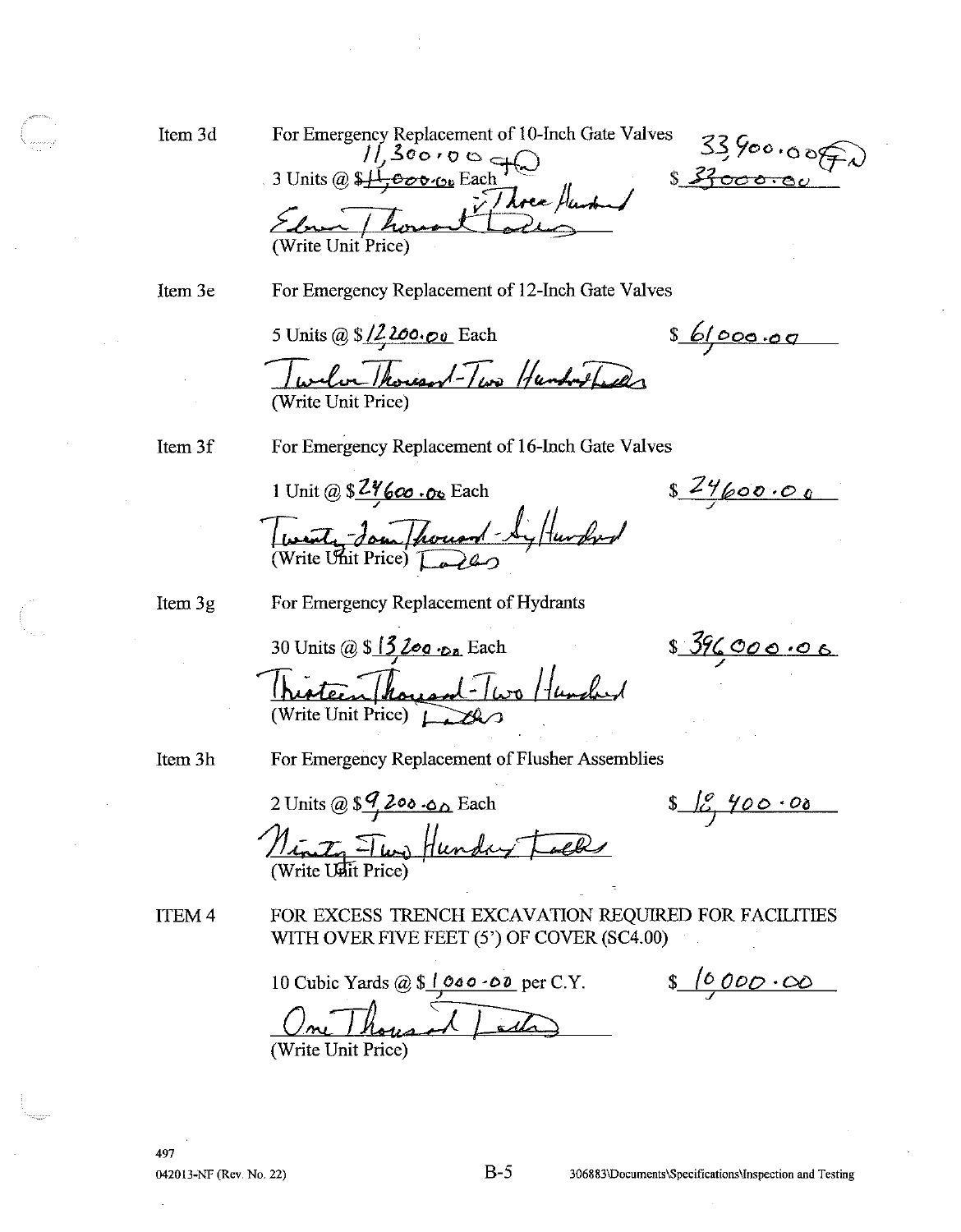Item 3d

For Emergency Replacement of 10-Inch Gate Valves  $33,900.0050$ Three Hunt Write Unit Price

Item 3e

For Emergency Replacement of 12-Inch Gate Valves

5 Units @ \$/2200.00 Each

861000.00

Twelve Thousand-Two Hundred Led (Write Unit Price)

Item 3f

For Emergency Replacement of 16-Inch Gate Valves

1 Unit @  $$2\frac{9}{600}$ . Oc Each Twenty Jon Thousand-Syltunderd

 $$24600.00$ 

Item 3g

For Emergency Replacement of Hydrants

30 Units @  $$13$  Log  $\cdot$  Each Nisteen Thousand-Two Hunder (Write Unit Price) LA

839600000

Item 3h

For Emergency Replacement of Flusher Assemblies

2 Units @  $\frac{97200.00}{8}$  Each Ninty Two Hunday Locks

 $$69,900.00$ 

ITEM<sub>4</sub>

FOR EXCESS TRENCH EXCAVATION REQUIRED FOR FACILITIES WITH OVER FIVE FEET (5') OF COVER (SC4.00)

10 Cubic Yards  $@ 10000000$  per C.Y.

 $$10,000.00$ 

(Write Unit Price)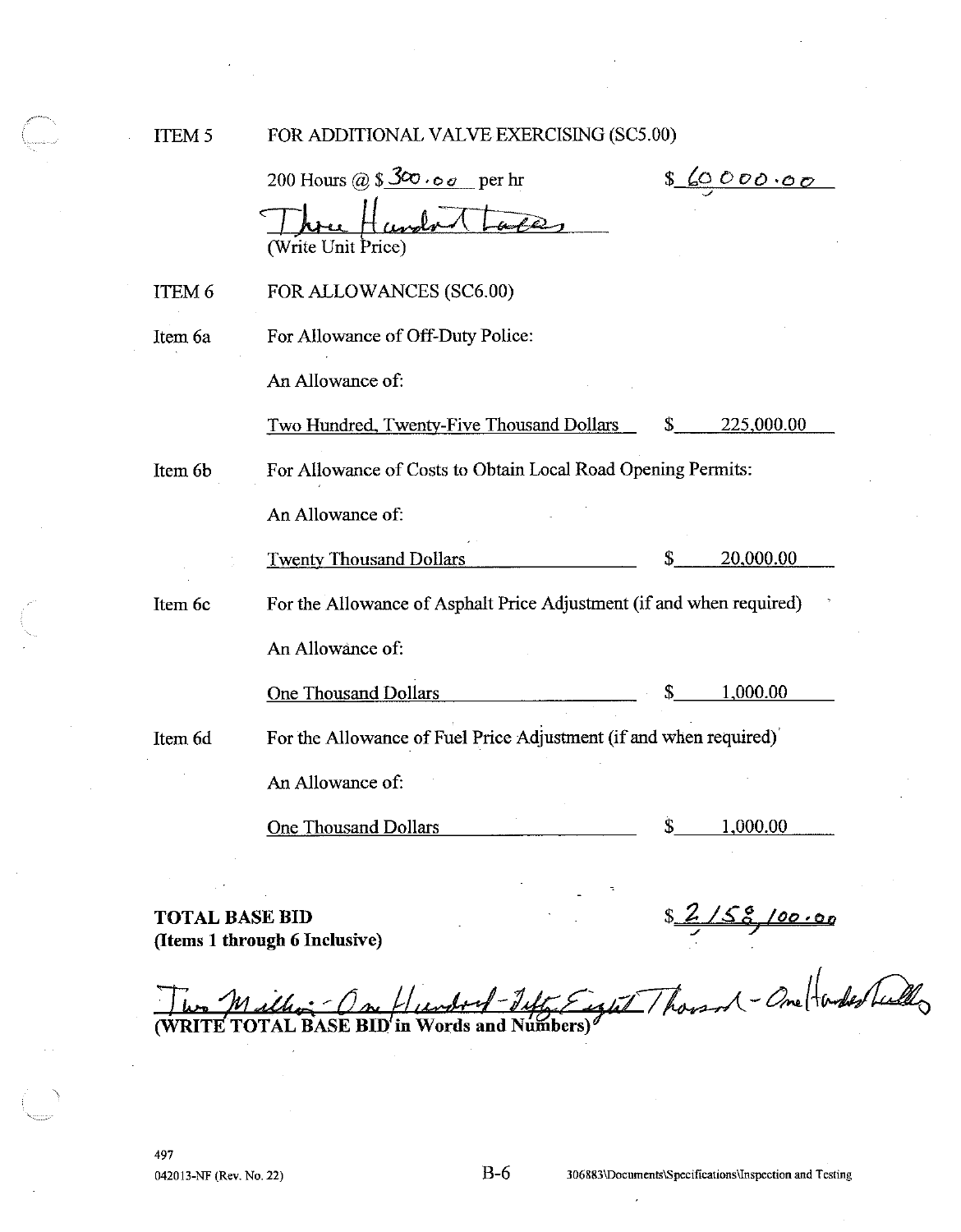ITEM<sub>5</sub>

FOR ADDITIONAL VALVE EXERCISING (SC5.00)

|         | 200 Hours @ $$300.00$<br>$p$ er hr<br>(Write Unit Price)             | <u>s 6000000</u> |  |
|---------|----------------------------------------------------------------------|------------------|--|
| ITEM 6  | FOR ALLOWANCES (SC6.00)                                              |                  |  |
| Item 6a | For Allowance of Off-Duty Police:                                    |                  |  |
|         | An Allowance of:                                                     |                  |  |
|         | Two Hundred, Twenty-Five Thousand Dollars                            | 225,000.00       |  |
| Item 6b | For Allowance of Costs to Obtain Local Road Opening Permits:         |                  |  |
|         | An Allowance of:                                                     |                  |  |
|         | <b>Twenty Thousand Dollars</b>                                       | \$<br>20,000.00  |  |
| Item 6c | For the Allowance of Asphalt Price Adjustment (if and when required) |                  |  |
|         | An Allowance of:                                                     |                  |  |
|         | <b>One Thousand Dollars</b>                                          | \$<br>1,000.00   |  |
| Item 6d | For the Allowance of Fuel Price Adjustment (if and when required)    |                  |  |
|         | An Allowance of:                                                     |                  |  |
|         | <b>One Thousand Dollars</b>                                          | \$<br>1.000.00   |  |

**TOTAL BASE BID** (Items 1 through 6 Inclusive)

 $$2/58/100.00$ Words and Numbers) $\theta$ (WRITE TOTAL BASE BID'in

 $\overline{a}$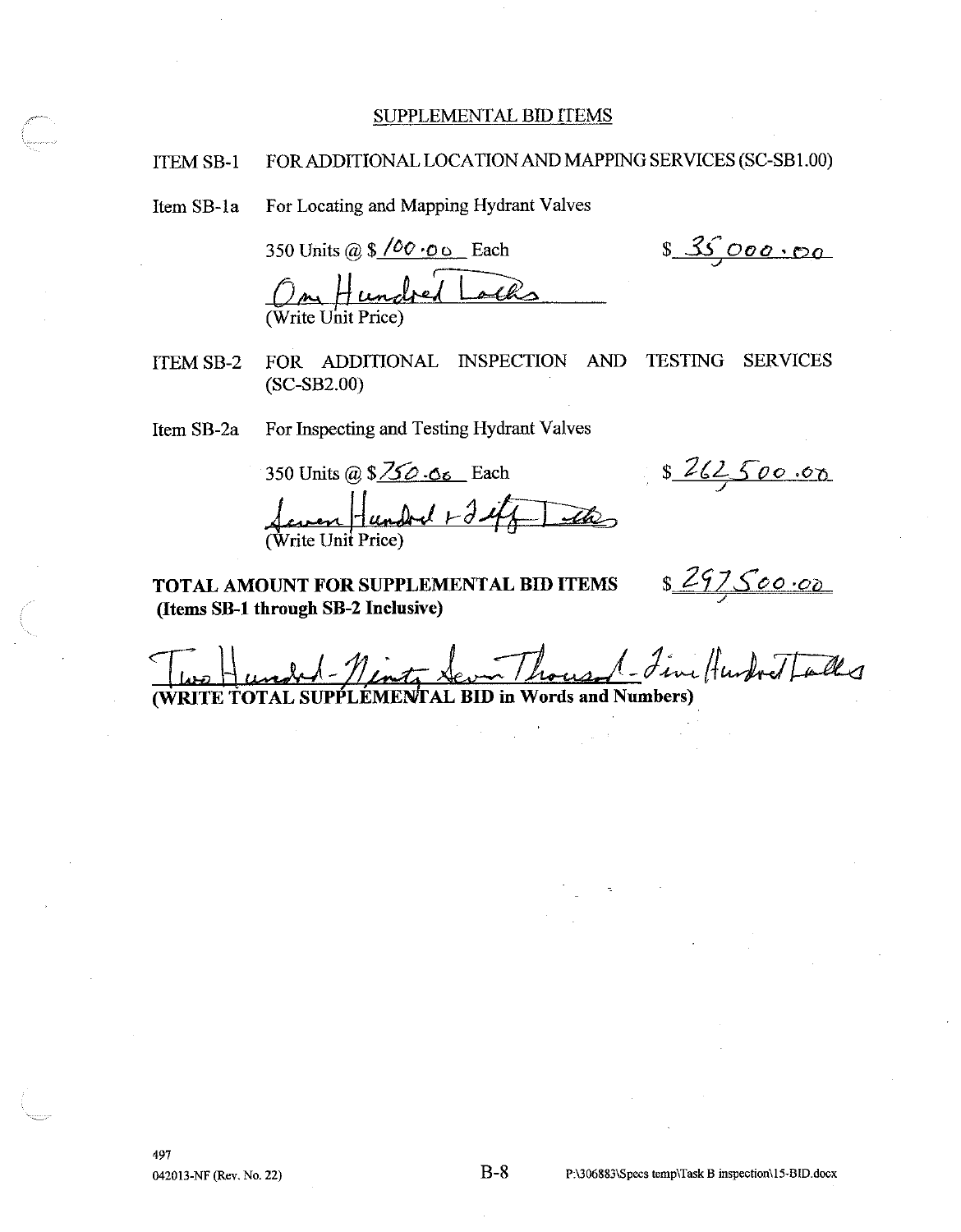#### SUPPLEMENTAL BID ITEMS

#### FOR ADDITIONAL LOCATION AND MAPPING SERVICES (SC-SB1.00) **ITEM SB-1**

For Locating and Mapping Hydrant Valves Item SB-1a

> 350 Units @  $\sqrt{$}$   $\sqrt{$}$   $\cdot$  0  $\circ$  Each Hundrey

**ITEM SB-2** FOR ADDITIONAL INSPECTION AND **TESTING SERVICES**  $(SC-SB2.00)$ 

For Inspecting and Testing Hydrant Valves Item SB-2a

350 Units @  $\sqrt{$\angle$0}.\sigma_{6}$  Each

TOTAL AMOUNT FOR SUPPLEMENTAL BID ITEMS (Items SB-1 through SB-2 Inclusive)

8262500.00

 $$35000.00$ 

s 297500.00 TAL BID in Words and Numbers) *(WRITE TOTAL SU* **.EME**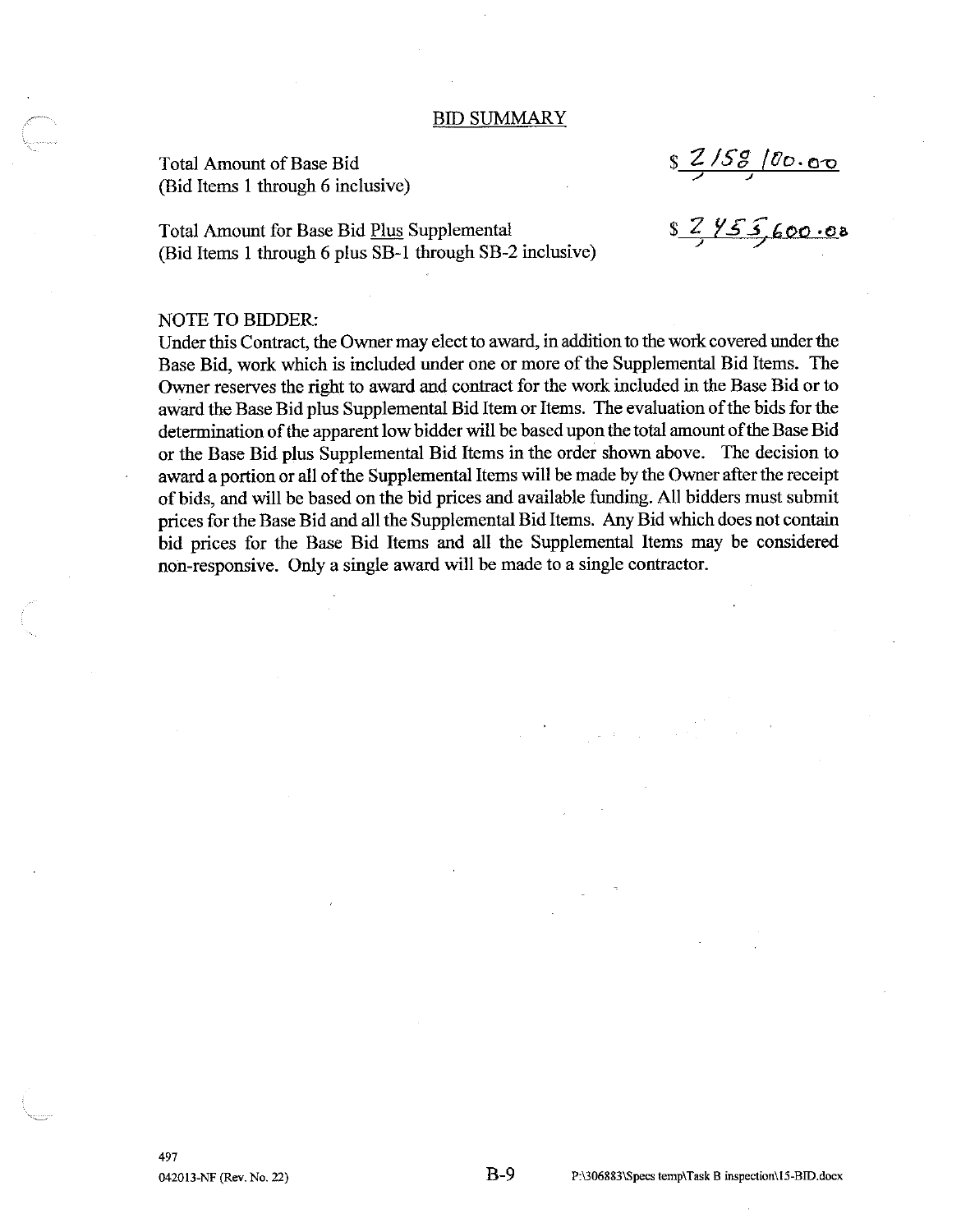#### **BID SUMMARY**

**Total Amount of Base Bid** (Bid Items 1 through 6 inclusive)

 $$7/58/00.00$ 

Total Amount for Base Bid Plus Supplemental (Bid Items 1 through 6 plus SB-1 through SB-2 inclusive)

87455,600.00

### **NOTE TO BIDDER:**

Under this Contract, the Owner may elect to award, in addition to the work covered under the Base Bid, work which is included under one or more of the Supplemental Bid Items. The Owner reserves the right to award and contract for the work included in the Base Bid or to award the Base Bid plus Supplemental Bid Item or Items. The evaluation of the bids for the determination of the apparent low bidder will be based upon the total amount of the Base Bid or the Base Bid plus Supplemental Bid Items in the order shown above. The decision to award a portion or all of the Supplemental Items will be made by the Owner after the receipt of bids, and will be based on the bid prices and available funding. All bidders must submit prices for the Base Bid and all the Supplemental Bid Items. Any Bid which does not contain bid prices for the Base Bid Items and all the Supplemental Items may be considered non-responsive. Only a single award will be made to a single contractor.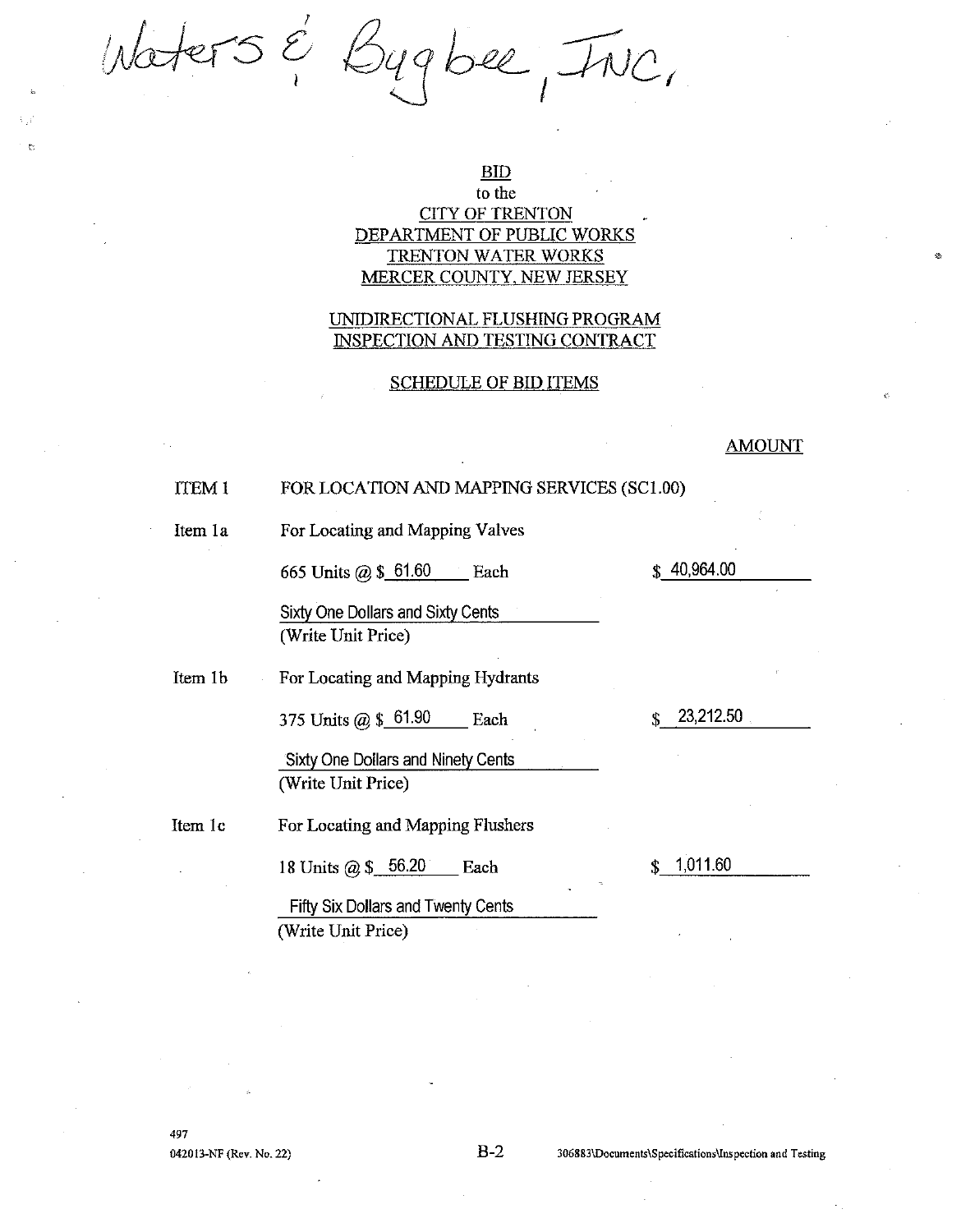Workers & Bygbee, INC.

### **BID**

## to the **CITY OF TRENTON** DEPARTMENT OF PUBLIC WORKS **TRENTON WATER WORKS** MERCER COUNTY, NEW JERSEY

### UNIDIRECTIONAL FLUSHING PROGRAM **INSPECTION AND TESTING CONTRACT**

### **SCHEDULE OF BID ITEMS**

### **AMOUNT**

#### ITEM<sub>1</sub> FOR LOCATION AND MAPPING SERVICES (SC1.00)

Item 1a

For Locating and Mapping Valves

665 Units @ \$ 61.60 Each

Sixty One Dollars and Sixty Cents (Write Unit Price)

Item 1b For Locating and Mapping Hydrants

> 375 Units @ \$\_61.90 Each

Sixty One Dollars and Ninety Cents (Write Unit Price)

Item 1c For Locating and Mapping Flushers

18 Units @ \$ 56.20 Each

 $$1,011.60$ 

23,212.50

\$

\$40,964.00

Fifty Six Dollars and Twenty Cents (Write Unit Price)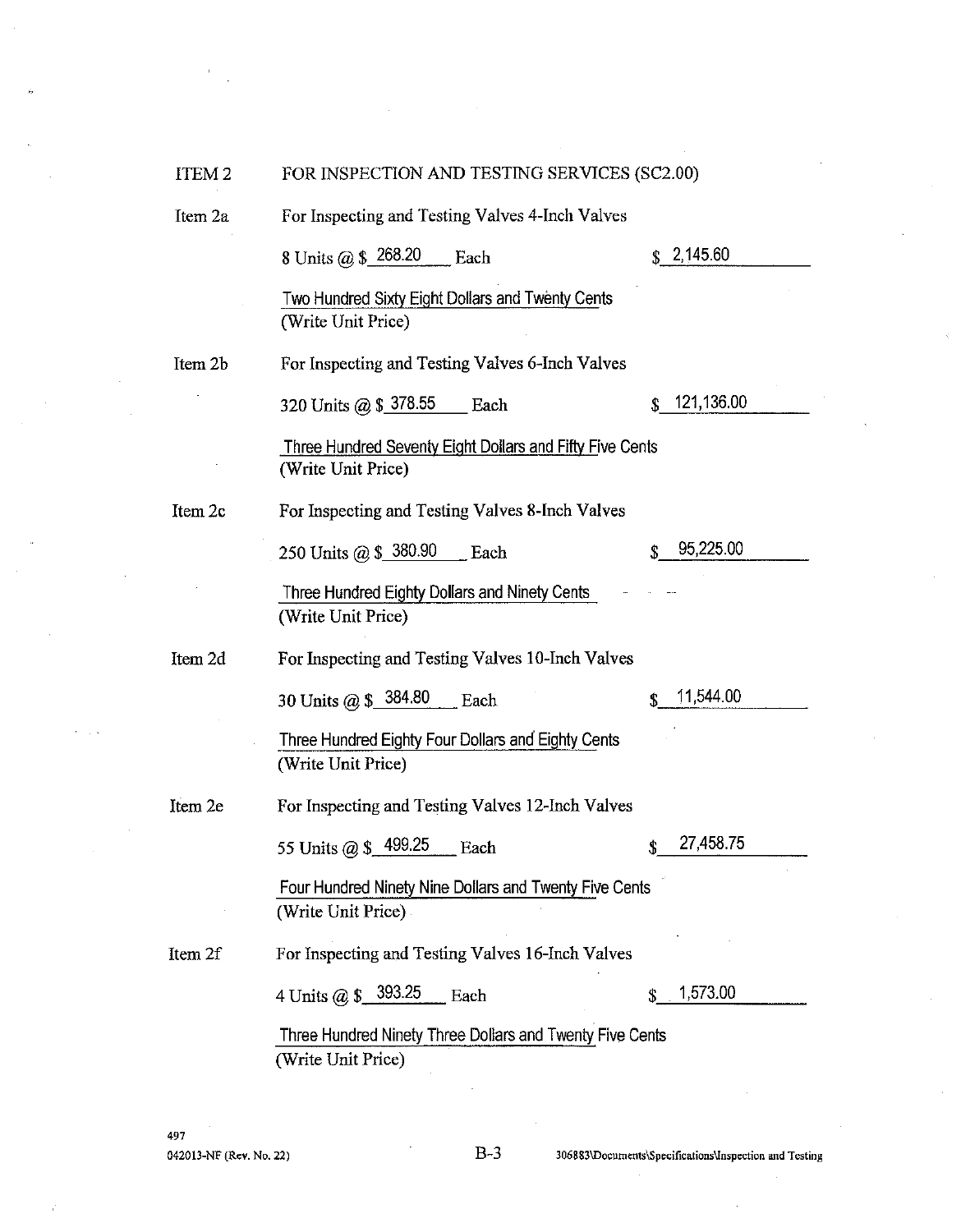| ITEM <sub>2</sub> | FOR INSPECTION AND TESTING SERVICES (SC2.00)                                   |                  |  |
|-------------------|--------------------------------------------------------------------------------|------------------|--|
| Item 2a           | For Inspecting and Testing Valves 4-Inch Valves                                |                  |  |
|                   | 8 Units @ \$ 268.20<br>Each                                                    | \$2,145.60       |  |
|                   | Two Hundred Sixty Eight Dollars and Twenty Cents<br>(Write Unit Price)         |                  |  |
| Item 2b           | For Inspecting and Testing Valves 6-Inch Valves                                |                  |  |
|                   | 320 Units @ \$ 378.55 Each                                                     | 121,136.00<br>S. |  |
|                   | Three Hundred Seventy Eight Dollars and Fifty Five Cents<br>(Write Unit Price) |                  |  |
| Item 2c           | For Inspecting and Testing Valves 8-Inch Valves                                |                  |  |
|                   | 250 Units @ \$ 380.90 Each                                                     | 95,225.00        |  |
|                   | Three Hundred Eighty Dollars and Ninety Cents<br>(Write Unit Price)            |                  |  |
| Item 2d           | For Inspecting and Testing Valves 10-Inch Valves                               |                  |  |
|                   | 30 Units @ $$384.80$<br>Each                                                   | 11,544.00        |  |
|                   | Three Hundred Eighty Four Dollars and Eighty Cents<br>(Write Unit Price)       |                  |  |
| Item 2e           | For Inspecting and Testing Valves 12-Inch Valves                               |                  |  |
|                   | 55 Units @ \$ 499.25<br>Each                                                   | 27,458.75        |  |
|                   | Four Hundred Ninety Nine Dollars and Twenty Five Cents<br>(Write Unit Price)   |                  |  |
| Item 2f           | For Inspecting and Testing Valves 16-Inch Valves                               |                  |  |
|                   | 4 Units @ \$ 393.25<br>Each                                                    | 1,573.00         |  |
|                   | Three Hundred Ninety Three Dollars and Twenty Five Cents<br>(Write Unit Price) |                  |  |
|                   |                                                                                |                  |  |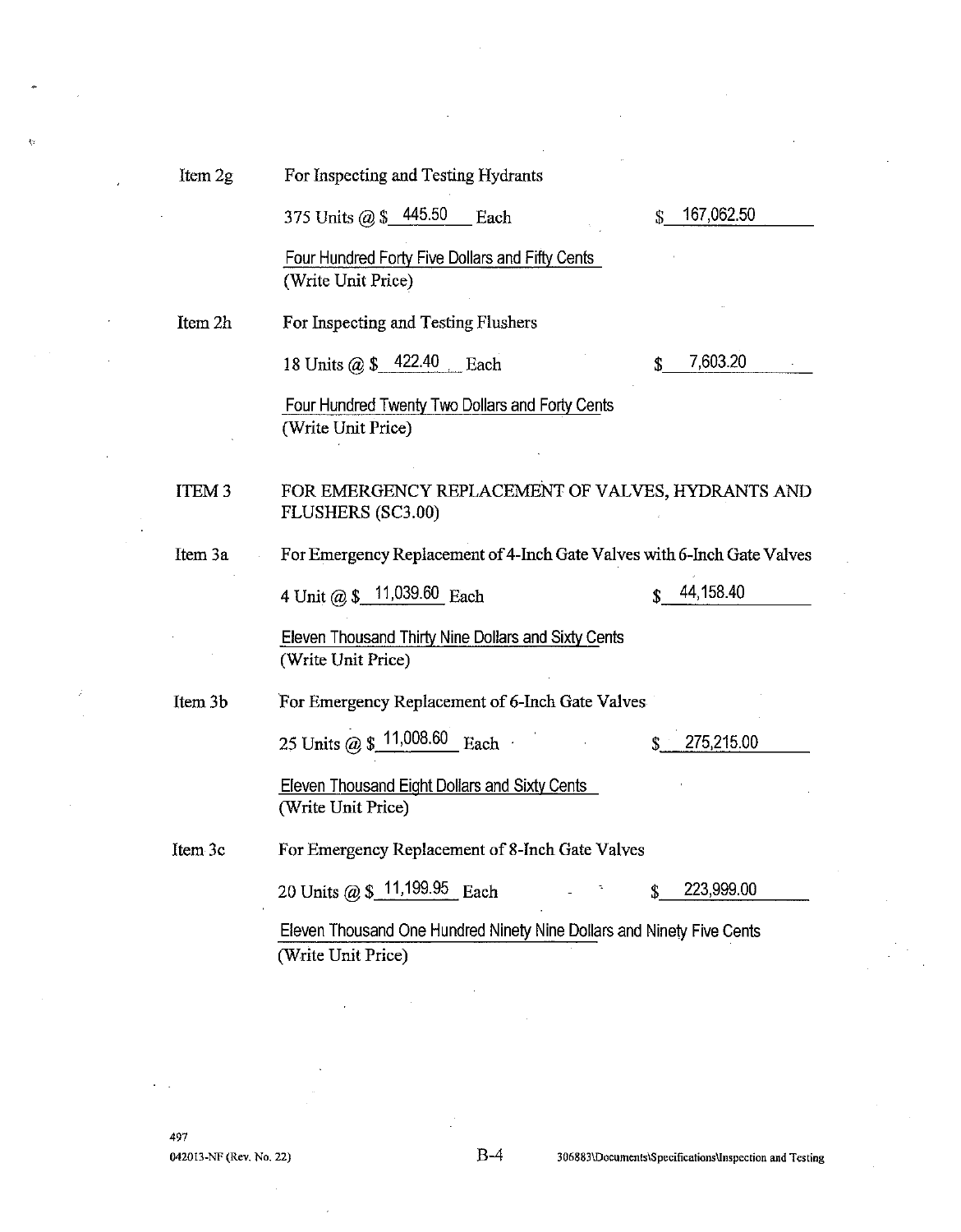k.

For Inspecting and Testing Hydrants

|              | 375 Units @ \$ 445.50<br>Each                                                    | \$<br>167,062.50 |
|--------------|----------------------------------------------------------------------------------|------------------|
|              | Four Hundred Forty Five Dollars and Fifty Cents<br>(Write Unit Price)            |                  |
| Item 2h      | For Inspecting and Testing Flushers                                              |                  |
|              | 18 Units @ \$ 422.40 Each                                                        | \$<br>7,603.20   |
|              | Four Hundred Twenty Two Dollars and Forty Cents<br>(Write Unit Price)            |                  |
| <b>ITEM3</b> | FOR EMERGENCY REPLACEMENT OF VALVES, HYDRANTS AND<br><b>FLUSHERS (SC3.00)</b>    |                  |
| Item 3a      | For Emergency Replacement of 4-Inch Gate Valves with 6-Inch Gate Valves          |                  |
|              | 4 Unit @ $$$ 11,039.60 Each                                                      | 44,158.40        |
|              | <b>Eleven Thousand Thirty Nine Dollars and Sixty Cents</b><br>(Write Unit Price) |                  |
| Item 3b      | For Emergency Replacement of 6-Inch Gate Valves                                  |                  |
|              | 25 Units @ $$11,008.60$ Each                                                     | 275,215.00       |
|              | <b>Eleven Thousand Eight Dollars and Sixty Cents</b><br>(Write Unit Price)       |                  |
| Item 3c      | For Emergency Replacement of 8-Inch Gate Valves                                  |                  |
|              | 20 Units @ \$ 11,199.95 Each                                                     | \$<br>223,999.00 |
|              | Eleven Thousand One Hundred Ninety Nine Dollars and Ninety Five Cents            |                  |
|              | (Write Unit Price)                                                               |                  |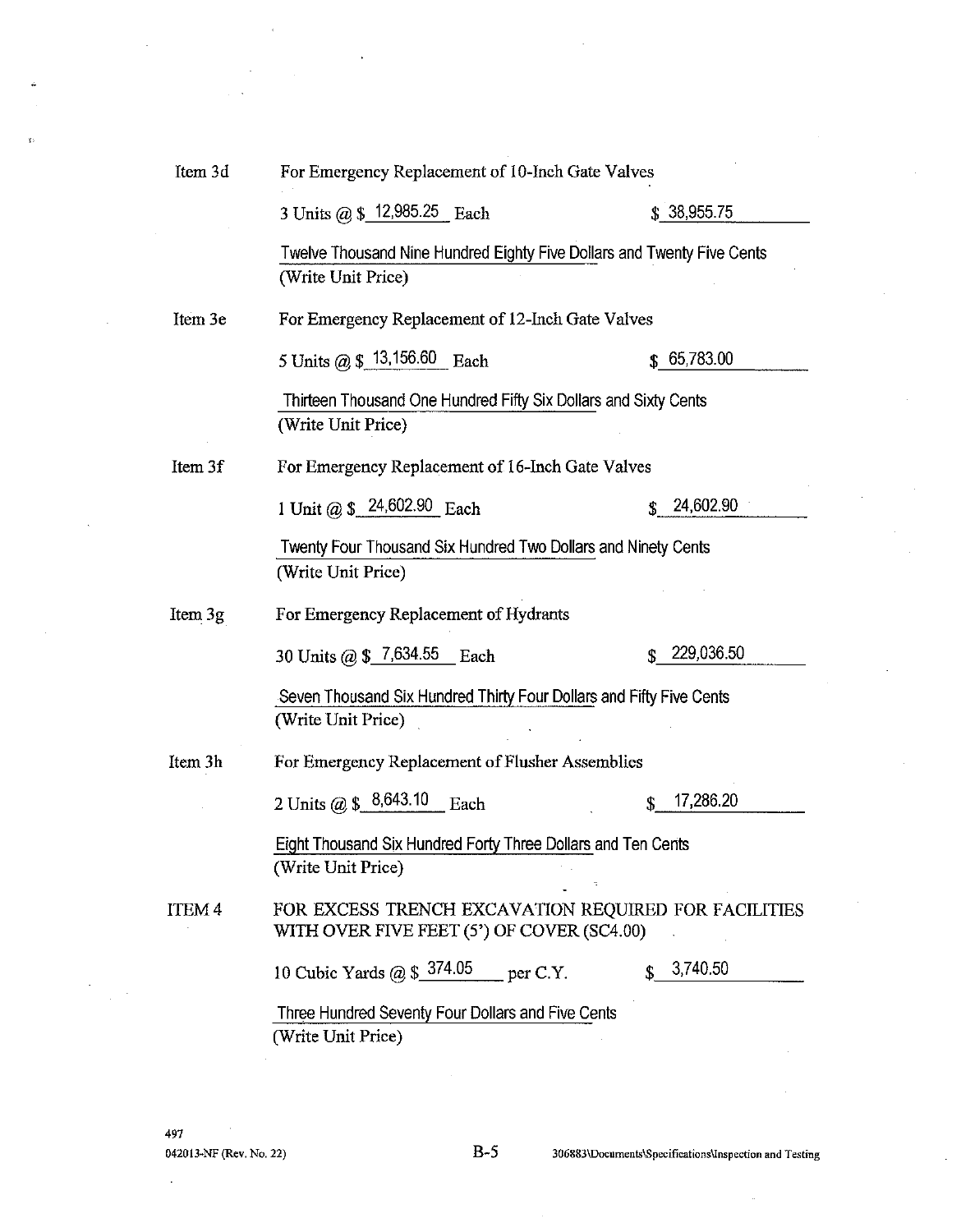| Item 3d           | For Emergency Replacement of 10-Inch Gate Valves                                                   |                 |  |
|-------------------|----------------------------------------------------------------------------------------------------|-----------------|--|
|                   | 3 Units @ \$ 12,985.25 Each                                                                        | \$38,955.75     |  |
|                   | Twelve Thousand Nine Hundred Eighty Five Dollars and Twenty Five Cents<br>(Write Unit Price)       |                 |  |
| Item 3e           | For Emergency Replacement of 12-Inch Gate Valves                                                   |                 |  |
|                   | 5 Units @ \$ 13,156.60 Each                                                                        | \$65,783.00     |  |
|                   | Thirteen Thousand One Hundred Fifty Six Dollars and Sixty Cents<br>(Write Unit Price)              |                 |  |
| Item 3f           | For Emergency Replacement of 16-Inch Gate Valves                                                   |                 |  |
|                   | 1 Unit @ $$24,602.90$ Each                                                                         | 24,602.90<br>\$ |  |
|                   | Twenty Four Thousand Six Hundred Two Dollars and Ninety Cents<br>(Write Unit Price)                |                 |  |
| Item 3g           | For Emergency Replacement of Hydrants                                                              |                 |  |
|                   | 30 Units @ $$7,634.55$ Each                                                                        | 229,036.50<br>S |  |
|                   | Seven Thousand Six Hundred Thirty Four Dollars and Fifty Five Cents<br>(Write Unit Price)          |                 |  |
| Item 3h           | For Emergency Replacement of Flusher Assemblies                                                    |                 |  |
|                   | 2 Units @ \$ 8,643.10<br>Each                                                                      | 17,286.20<br>\$ |  |
|                   | Eight Thousand Six Hundred Forty Three Dollars and Ten Cents<br>(Write Unit Price)                 |                 |  |
| ITEM <sub>4</sub> | FOR EXCESS TRENCH EXCAVATION REQUIRED FOR FACILITIES<br>WITH OVER FIVE FEET (5') OF COVER (SC4.00) |                 |  |
|                   | 10 Cubic Yards $\omega$ \$ 374.05 per C.Y.                                                         | 3,740.50        |  |
|                   | Three Hundred Seventy Four Dollars and Five Cents<br>(Write Unit Price)                            |                 |  |

 $B-5$ 

l,

l.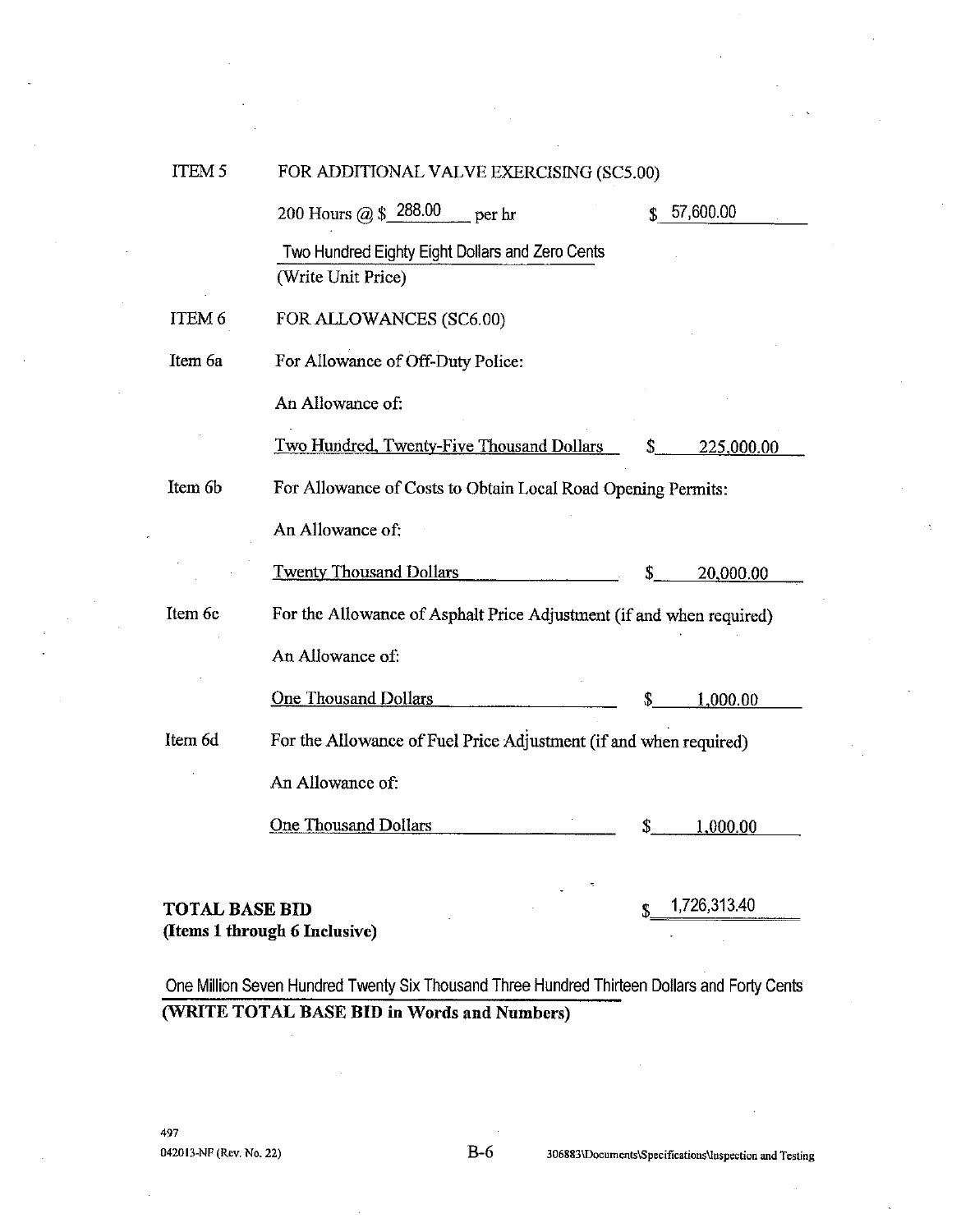| <b>ITEM5</b> | FOR ADDITIONAL VALVE EXERCISING (SC5.00)                              |    |            |
|--------------|-----------------------------------------------------------------------|----|------------|
|              | 200 Hours @ \$ 288.00<br>$p$ per hr                                   | \$ | 57,600.00  |
|              | Two Hundred Eighty Eight Dollars and Zero Cents<br>(Write Unit Price) |    |            |
| ITEM 6       | FOR ALLOWANCES (SC6.00)                                               |    |            |
| Item 6a      | For Allowance of Off-Duty Police:                                     |    |            |
|              | An Allowance of:                                                      |    |            |
|              | Two Hundred, Twenty-Five Thousand Dollars                             | \$ | 225,000.00 |
| Item 6b      | For Allowance of Costs to Obtain Local Road Opening Permits:          |    |            |
|              | An Allowance of:                                                      |    |            |
|              | <b>Twenty Thousand Dollars</b>                                        | \$ | 20,000.00  |
| Item 6c      | For the Allowance of Asphalt Price Adjustment (if and when required)  |    |            |
|              | An Allowance of:                                                      |    |            |
|              | <b>One Thousand Dollars</b>                                           | \$ | 1,000.00   |
| Item 6d      | For the Allowance of Fuel Price Adjustment (if and when required)     |    |            |
|              | An Allowance of:                                                      |    |            |
|              | <b>One Thousand Dollars</b>                                           | \$ | 1,000.00   |
|              |                                                                       |    |            |

## **TOTAL BASE BID** (Items 1 through 6 Inclusive)

1,726,313.40

One Million Seven Hundred Twenty Six Thousand Three Hundred Thirteen Dollars and Forty Cents (WRITE TOTAL BASE BID in Words and Numbers)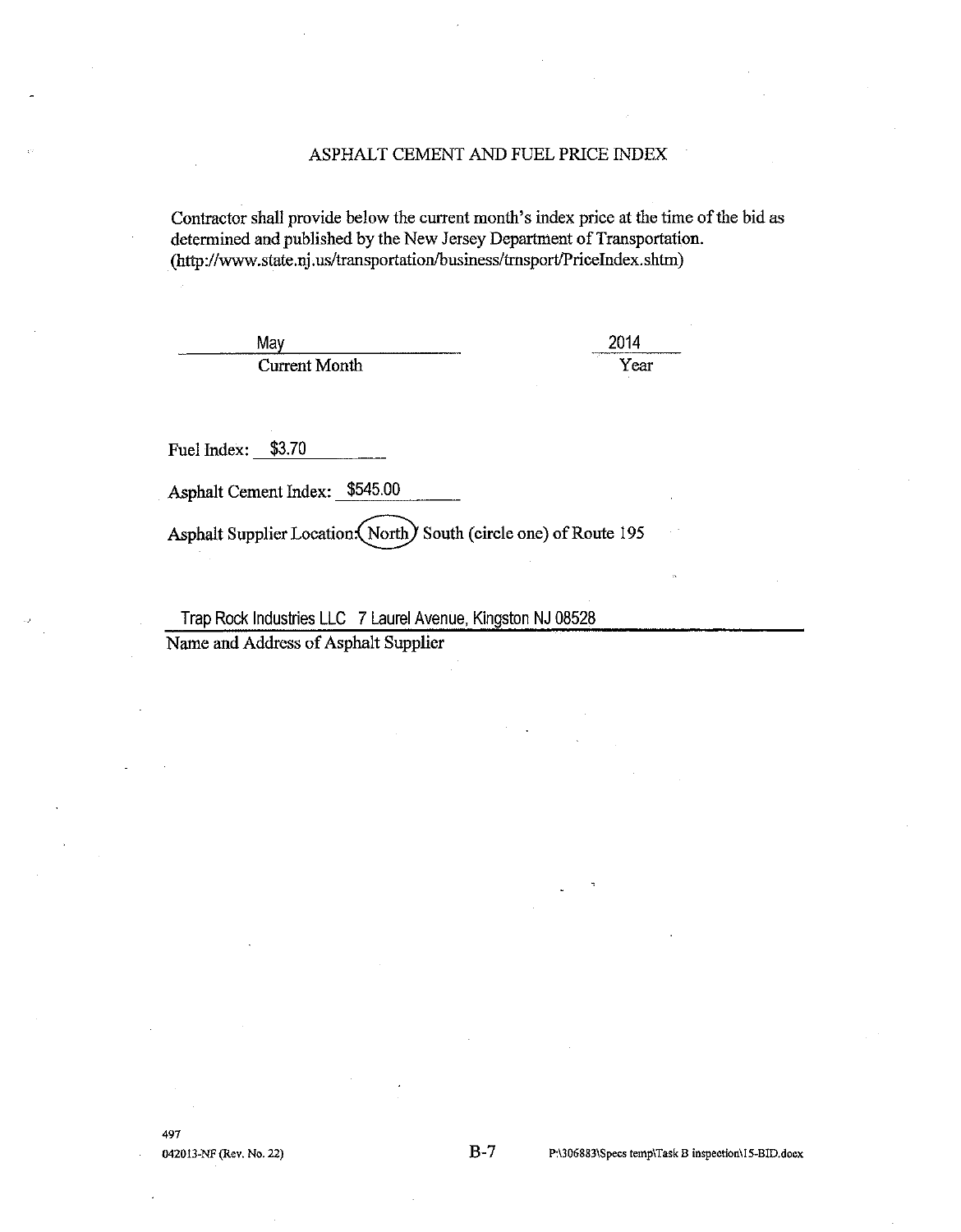## ASPHALT CEMENT AND FUEL PRICE INDEX

Contractor shall provide below the current month's index price at the time of the bid as determined and published by the New Jersey Department of Transportation. (http://www.state.nj.us/transportation/business/trnsport/PriceIndex.shtm)

May **Current Month**  2014 Year

Fuel Index: \$3.70

Asphalt Cement Index: \$545.00

Asphalt Supplier Location (North) South (circle one) of Route 195

Trap Rock Industries LLC 7 Laurel Avenue, Kingston NJ 08528 Name and Address of Asphalt Supplier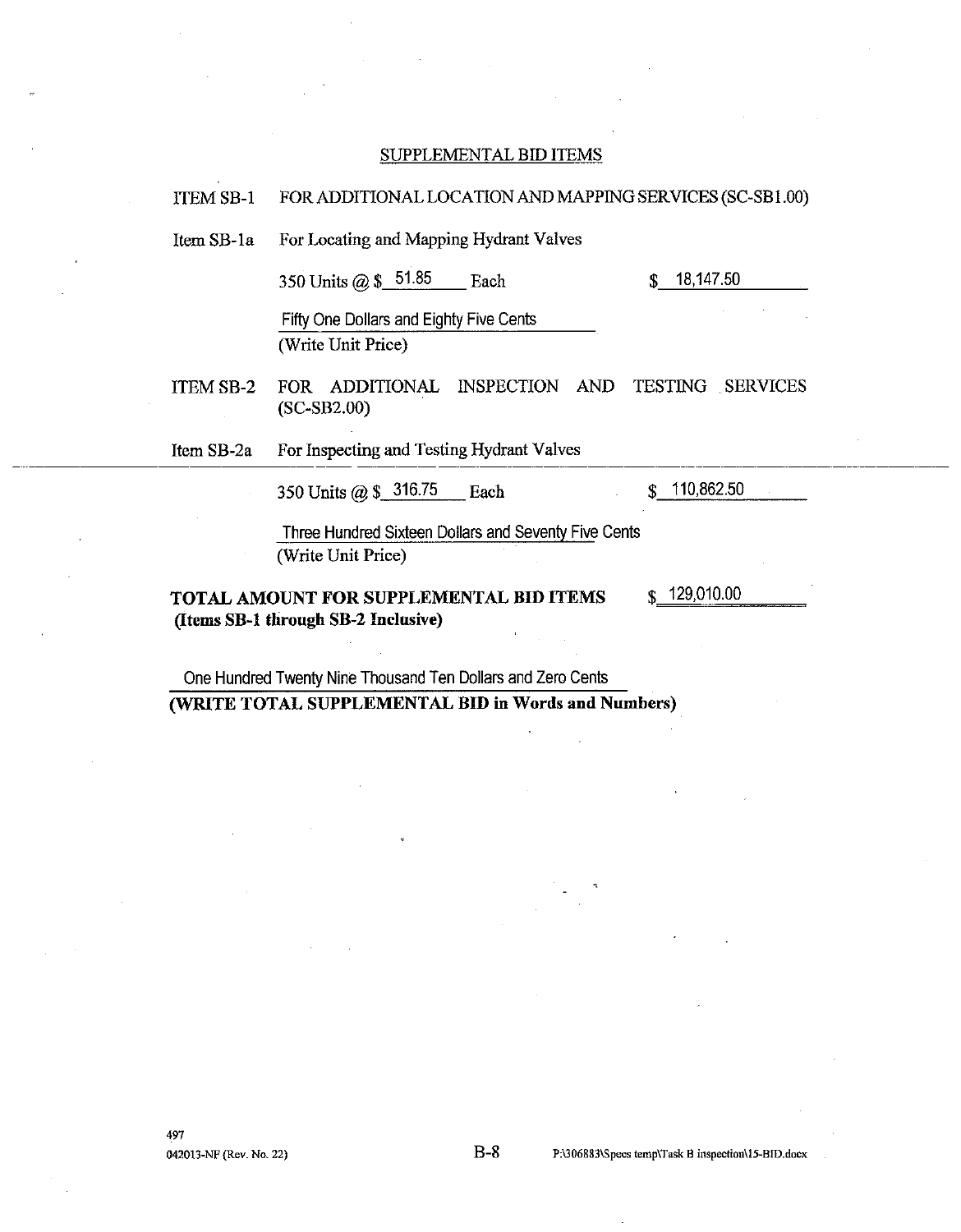#### SUPPLEMENTAL BID ITEMS

#### FOR ADDITIONAL LOCATION AND MAPPING SERVICES (SC-SB1.00) **ITEM SB-1**

For Locating and Mapping Hydrant Valves Item SB-1a

> 350 Units @ \$\_51.85 Each

18,147,50 \$

Fifty One Dollars and Eighty Five Cents (Write Unit Price)

FOR ADDITIONAL INSPECTION AND TESTING SERVICES ITEM SB-2  $(SC-SB2.00)$ 

For Inspecting and Testing Hydrant Valves Item SB-2a

> 350 Units @ \$ 316.75 Each

\$10,862.50

Three Hundred Sixteen Dollars and Seventy Five Cents (Write Unit Price)

TOTAL AMOUNT FOR SUPPLEMENTAL BID ITEMS (Items SB-1 through SB-2 Inclusive)

129,010.00

One Hundred Twenty Nine Thousand Ten Dollars and Zero Cents (WRITE TOTAL SUPPLEMENTAL BID in Words and Numbers)